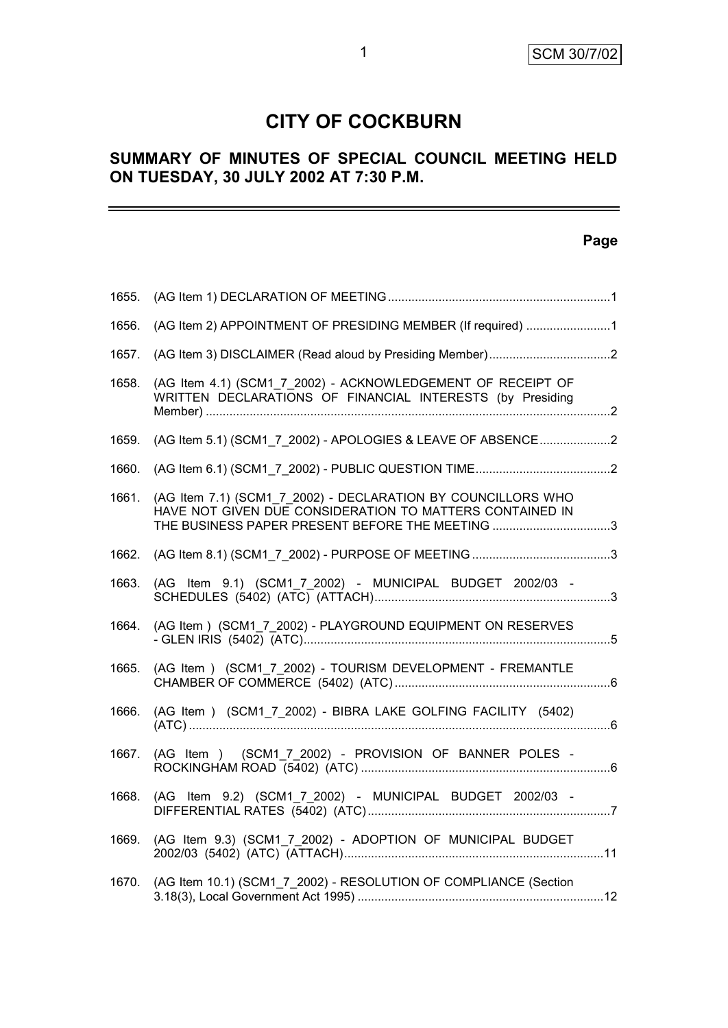# **CITY OF COCKBURN**

# **SUMMARY OF MINUTES OF SPECIAL COUNCIL MEETING HELD ON TUESDAY, 30 JULY 2002 AT 7:30 P.M.**

## **Page**

| 1655. |                                                                                                                                                                             |  |
|-------|-----------------------------------------------------------------------------------------------------------------------------------------------------------------------------|--|
| 1656. | (AG Item 2) APPOINTMENT OF PRESIDING MEMBER (If required) 1                                                                                                                 |  |
| 1657. |                                                                                                                                                                             |  |
| 1658. | (AG Item 4.1) (SCM1 7 2002) - ACKNOWLEDGEMENT OF RECEIPT OF<br>WRITTEN DECLARATIONS OF FINANCIAL INTERESTS (by Presiding                                                    |  |
| 1659. | (AG Item 5.1) (SCM1 7 2002) - APOLOGIES & LEAVE OF ABSENCE2                                                                                                                 |  |
| 1660. |                                                                                                                                                                             |  |
| 1661. | (AG Item 7.1) (SCM1 7 2002) - DECLARATION BY COUNCILLORS WHO<br>HAVE NOT GIVEN DUE CONSIDERATION TO MATTERS CONTAINED IN<br>THE BUSINESS PAPER PRESENT BEFORE THE MEETING 3 |  |
| 1662. |                                                                                                                                                                             |  |
| 1663. | (AG Item 9.1) (SCM1_7_2002) - MUNICIPAL BUDGET 2002/03 -                                                                                                                    |  |
| 1664. | (AG Item) (SCM1_7_2002) - PLAYGROUND EQUIPMENT ON RESERVES                                                                                                                  |  |
| 1665. | (AG Item ) (SCM1_7_2002) - TOURISM DEVELOPMENT - FREMANTLE                                                                                                                  |  |
| 1666. | (AG Item ) (SCM1_7_2002) - BIBRA LAKE GOLFING FACILITY (5402)                                                                                                               |  |
| 1667. | (AG Item ) (SCM1_7_2002) - PROVISION OF BANNER POLES -                                                                                                                      |  |
| 1668. | (AG Item 9.2) (SCM1_7_2002) - MUNICIPAL BUDGET 2002/03 -                                                                                                                    |  |
| 1669. | (AG Item 9.3) (SCM1_7_2002) - ADOPTION OF MUNICIPAL BUDGET                                                                                                                  |  |
| 1670. | (AG Item 10.1) (SCM1_7_2002) - RESOLUTION OF COMPLIANCE (Section                                                                                                            |  |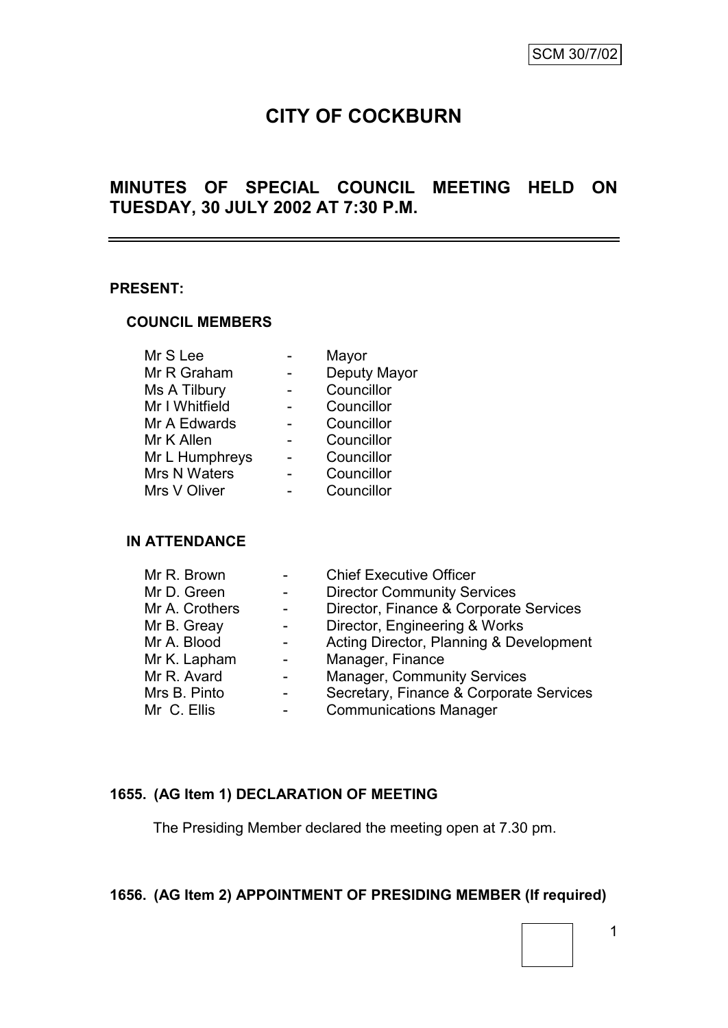# **CITY OF COCKBURN**

# **MINUTES OF SPECIAL COUNCIL MEETING HELD ON TUESDAY, 30 JULY 2002 AT 7:30 P.M.**

#### **PRESENT:**

#### **COUNCIL MEMBERS**

| Mr S Lee       | Mayor        |
|----------------|--------------|
| Mr R Graham    | Deputy Mayor |
| Ms A Tilbury   | Councillor   |
| Mr I Whitfield | Councillor   |
| Mr A Edwards   | Councillor   |
| Mr K Allen     | Councillor   |
| Mr L Humphreys | Councillor   |
| Mrs N Waters   | Councillor   |
| Mrs V Oliver   | Councillor   |
|                |              |

#### **IN ATTENDANCE**

| Mr R. Brown    |                  | <b>Chief Executive Officer</b>          |
|----------------|------------------|-----------------------------------------|
| Mr D. Green    |                  | <b>Director Community Services</b>      |
| Mr A. Crothers |                  | Director, Finance & Corporate Services  |
| Mr B. Greay    |                  | Director, Engineering & Works           |
| Mr A. Blood    | $\sim$ 100 $\mu$ | Acting Director, Planning & Development |
| Mr K. Lapham   |                  | Manager, Finance                        |
| Mr R. Avard    |                  | <b>Manager, Community Services</b>      |
| Mrs B. Pinto   |                  | Secretary, Finance & Corporate Services |
| Mr C. Ellis    |                  | <b>Communications Manager</b>           |

#### **1655. (AG Item 1) DECLARATION OF MEETING**

The Presiding Member declared the meeting open at 7.30 pm.

## **1656. (AG Item 2) APPOINTMENT OF PRESIDING MEMBER (If required)**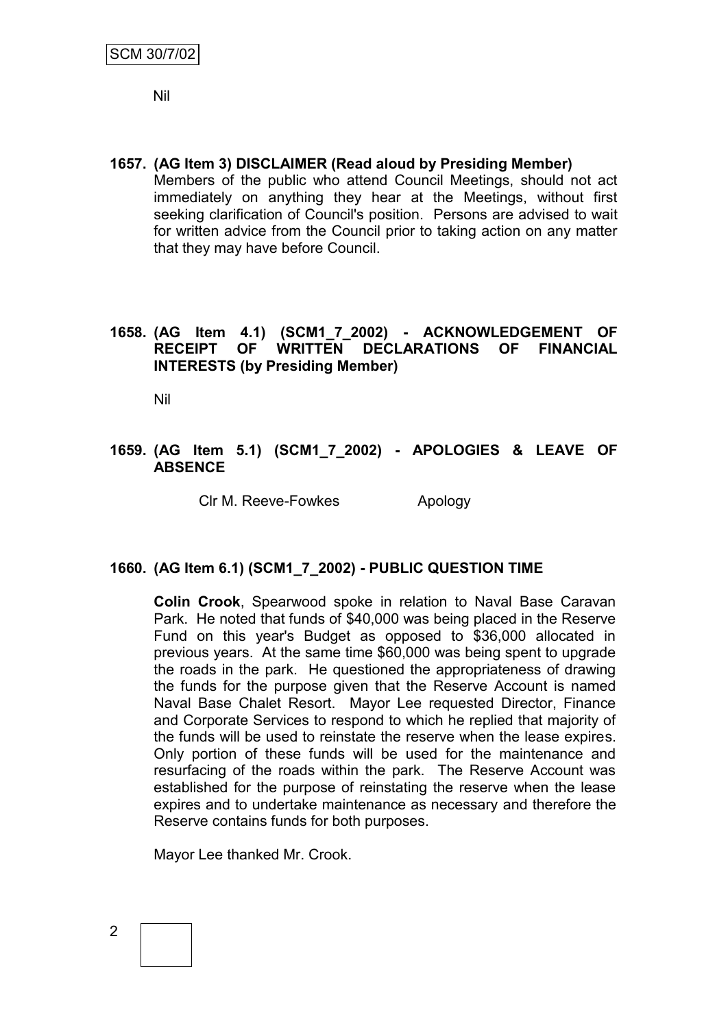Nil

**1657. (AG Item 3) DISCLAIMER (Read aloud by Presiding Member)** Members of the public who attend Council Meetings, should not act immediately on anything they hear at the Meetings, without first seeking clarification of Council's position. Persons are advised to wait for written advice from the Council prior to taking action on any matter that they may have before Council.

#### **1658. (AG Item 4.1) (SCM1\_7\_2002) - ACKNOWLEDGEMENT OF RECEIPT OF WRITTEN DECLARATIONS OF FINANCIAL INTERESTS (by Presiding Member)**

Nil

#### **1659. (AG Item 5.1) (SCM1\_7\_2002) - APOLOGIES & LEAVE OF ABSENCE**

Clr M. Reeve-Fowkes Apology

#### **1660. (AG Item 6.1) (SCM1\_7\_2002) - PUBLIC QUESTION TIME**

**Colin Crook**, Spearwood spoke in relation to Naval Base Caravan Park. He noted that funds of \$40,000 was being placed in the Reserve Fund on this year's Budget as opposed to \$36,000 allocated in previous years. At the same time \$60,000 was being spent to upgrade the roads in the park. He questioned the appropriateness of drawing the funds for the purpose given that the Reserve Account is named Naval Base Chalet Resort. Mayor Lee requested Director, Finance and Corporate Services to respond to which he replied that majority of the funds will be used to reinstate the reserve when the lease expires. Only portion of these funds will be used for the maintenance and resurfacing of the roads within the park. The Reserve Account was established for the purpose of reinstating the reserve when the lease expires and to undertake maintenance as necessary and therefore the Reserve contains funds for both purposes.

Mayor Lee thanked Mr. Crook.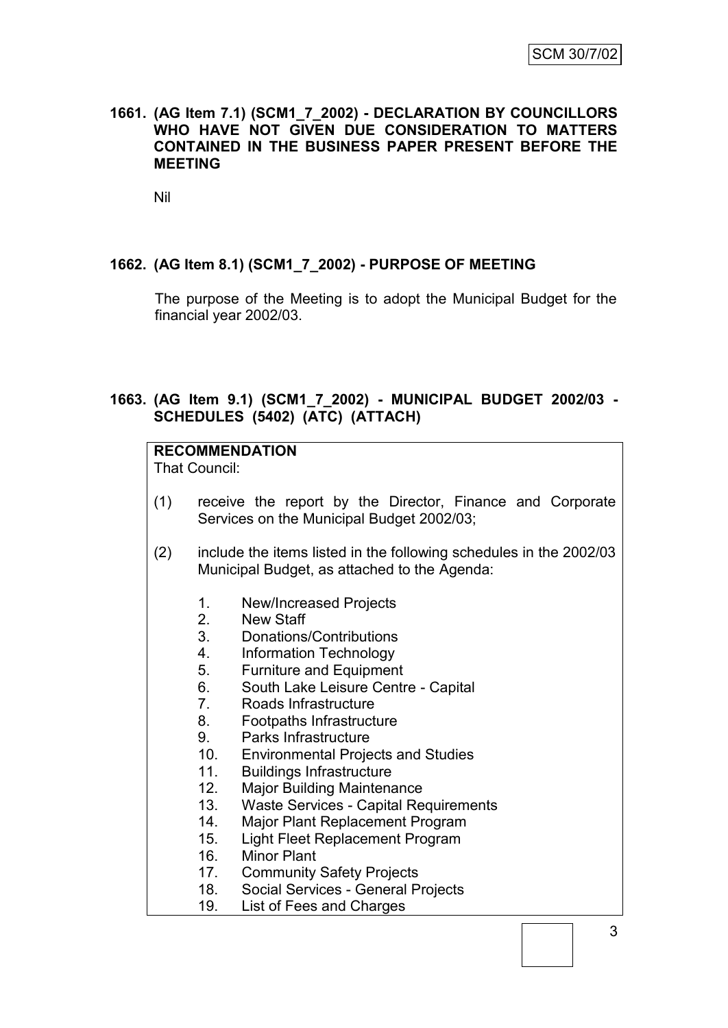#### **1661. (AG Item 7.1) (SCM1\_7\_2002) - DECLARATION BY COUNCILLORS WHO HAVE NOT GIVEN DUE CONSIDERATION TO MATTERS CONTAINED IN THE BUSINESS PAPER PRESENT BEFORE THE MEETING**

Nil

#### **1662. (AG Item 8.1) (SCM1\_7\_2002) - PURPOSE OF MEETING**

The purpose of the Meeting is to adopt the Municipal Budget for the financial year 2002/03.

#### **1663. (AG Item 9.1) (SCM1\_7\_2002) - MUNICIPAL BUDGET 2002/03 - SCHEDULES (5402) (ATC) (ATTACH)**

## **RECOMMENDATION**

That Council:

- (1) receive the report by the Director, Finance and Corporate Services on the Municipal Budget 2002/03;
- (2) include the items listed in the following schedules in the 2002/03 Municipal Budget, as attached to the Agenda:
	- 1. New/Increased Projects
	- 2. New Staff
	- 3. Donations/Contributions
	- 4. Information Technology
	- 5. Furniture and Equipment
	- 6. South Lake Leisure Centre Capital
	- 7. Roads Infrastructure
	- 8. Footpaths Infrastructure
	- 9. Parks Infrastructure
	- 10. Environmental Projects and Studies
	- 11. Buildings Infrastructure
	- 12. Major Building Maintenance
	- 13. Waste Services Capital Requirements
	- 14. Major Plant Replacement Program
	- 15. Light Fleet Replacement Program
	- 16. Minor Plant
	- 17. Community Safety Projects
	- 18. Social Services General Projects
	- 19. List of Fees and Charges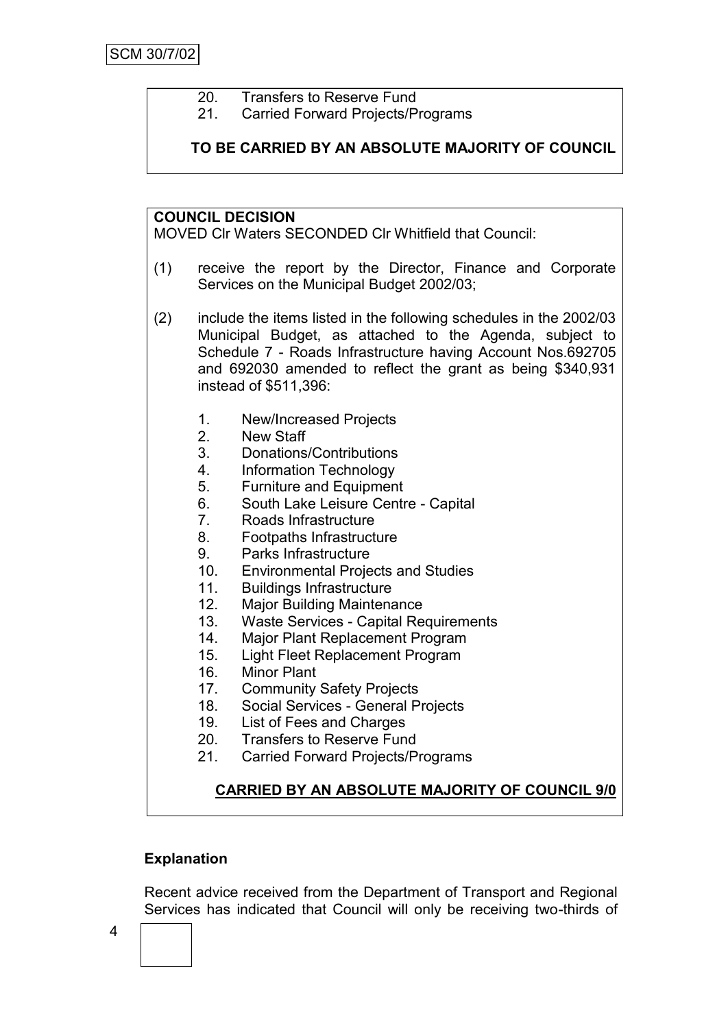- 20. Transfers to Reserve Fund
- 21. Carried Forward Projects/Programs

**TO BE CARRIED BY AN ABSOLUTE MAJORITY OF COUNCIL**

#### **COUNCIL DECISION**

MOVED Clr Waters SECONDED Clr Whitfield that Council:

- (1) receive the report by the Director, Finance and Corporate Services on the Municipal Budget 2002/03;
- (2) include the items listed in the following schedules in the 2002/03 Municipal Budget, as attached to the Agenda, subject to Schedule 7 - Roads Infrastructure having Account Nos.692705 and 692030 amended to reflect the grant as being \$340,931 instead of \$511,396:
	- 1. New/Increased Projects
	- 2. New Staff
	- 3. Donations/Contributions
	- 4. Information Technology
	- 5. Furniture and Equipment
	- 6. South Lake Leisure Centre Capital
	- 7. Roads Infrastructure
	- 8. Footpaths Infrastructure
	- 9. Parks Infrastructure
	- 10. Environmental Projects and Studies
	- 11. Buildings Infrastructure
	- 12. Major Building Maintenance
	- 13. Waste Services Capital Requirements
	- 14. Major Plant Replacement Program
	- 15. Light Fleet Replacement Program
	- 16. Minor Plant
	- 17. Community Safety Projects
	- 18. Social Services General Projects
	- 19. List of Fees and Charges
	- 20. Transfers to Reserve Fund
	- 21. Carried Forward Projects/Programs

## **CARRIED BY AN ABSOLUTE MAJORITY OF COUNCIL 9/0**

## **Explanation**

Recent advice received from the Department of Transport and Regional Services has indicated that Council will only be receiving two-thirds of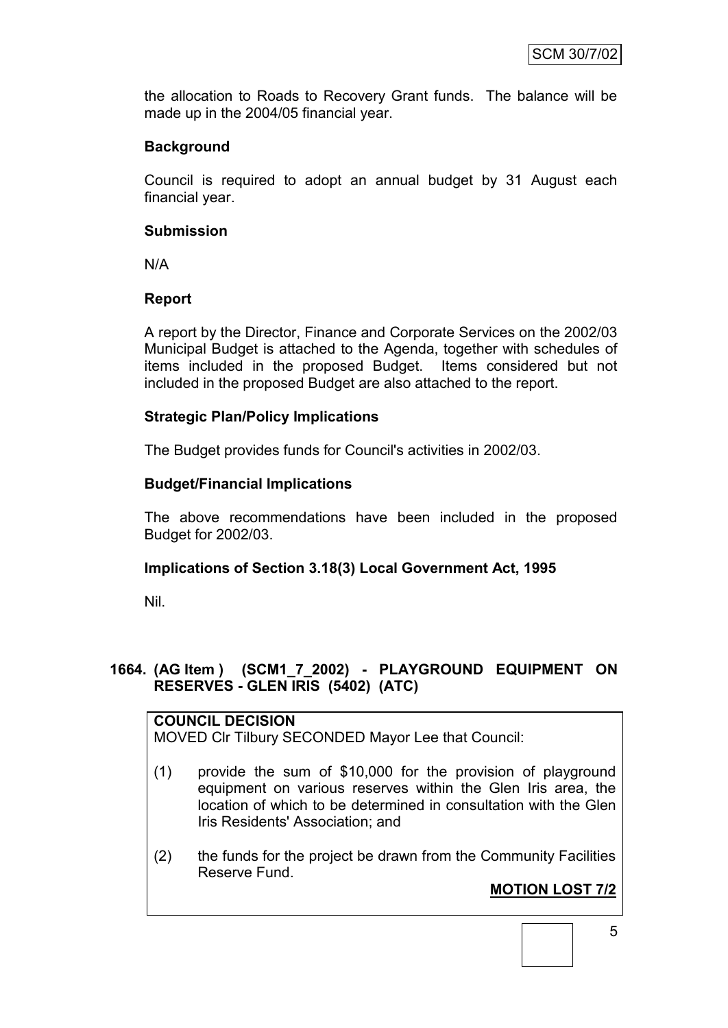the allocation to Roads to Recovery Grant funds. The balance will be made up in the 2004/05 financial year.

## **Background**

Council is required to adopt an annual budget by 31 August each financial year.

#### **Submission**

N/A

#### **Report**

A report by the Director, Finance and Corporate Services on the 2002/03 Municipal Budget is attached to the Agenda, together with schedules of items included in the proposed Budget. Items considered but not included in the proposed Budget are also attached to the report.

#### **Strategic Plan/Policy Implications**

The Budget provides funds for Council's activities in 2002/03.

#### **Budget/Financial Implications**

The above recommendations have been included in the proposed Budget for 2002/03.

## **Implications of Section 3.18(3) Local Government Act, 1995**

Nil.

#### **1664. (AG Item ) (SCM1\_7\_2002) - PLAYGROUND EQUIPMENT ON RESERVES - GLEN IRIS (5402) (ATC)**

## **COUNCIL DECISION**

MOVED Clr Tilbury SECONDED Mayor Lee that Council:

- (1) provide the sum of \$10,000 for the provision of playground equipment on various reserves within the Glen Iris area, the location of which to be determined in consultation with the Glen Iris Residents' Association; and
- (2) the funds for the project be drawn from the Community Facilities Reserve Fund.

# **MOTION LOST 7/2**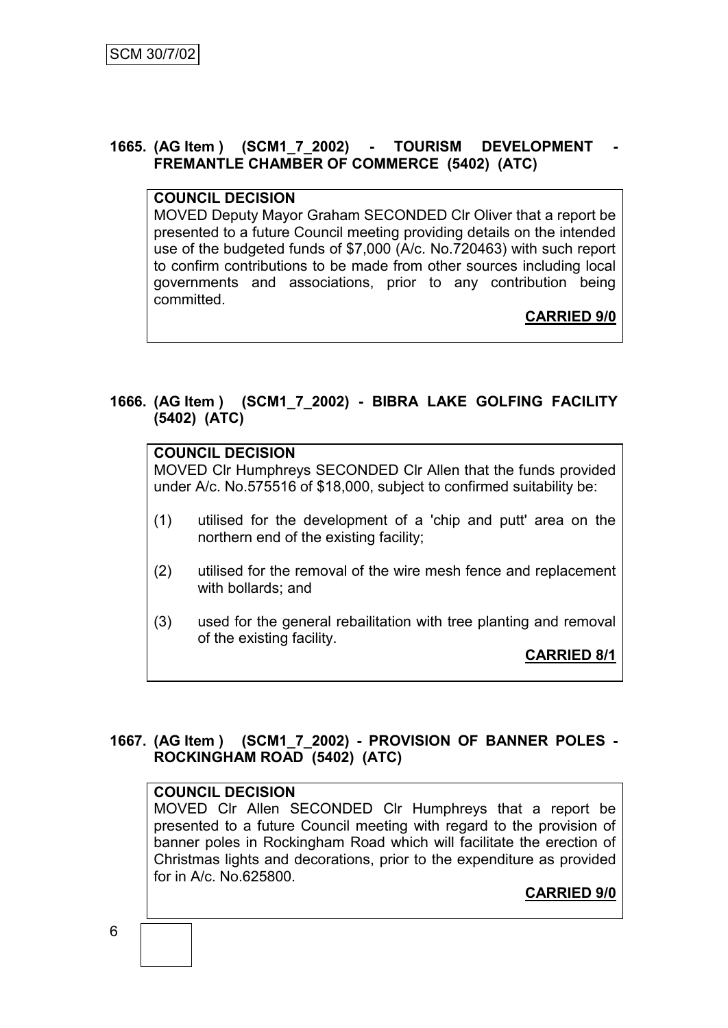#### **1665. (AG Item ) (SCM1\_7\_2002) - TOURISM DEVELOPMENT - FREMANTLE CHAMBER OF COMMERCE (5402) (ATC)**

#### **COUNCIL DECISION**

MOVED Deputy Mayor Graham SECONDED Clr Oliver that a report be presented to a future Council meeting providing details on the intended use of the budgeted funds of \$7,000 (A/c. No.720463) with such report to confirm contributions to be made from other sources including local governments and associations, prior to any contribution being committed.

**CARRIED 9/0**

## **1666. (AG Item ) (SCM1\_7\_2002) - BIBRA LAKE GOLFING FACILITY (5402) (ATC)**

**COUNCIL DECISION** MOVED Clr Humphreys SECONDED Clr Allen that the funds provided under A/c. No.575516 of \$18,000, subject to confirmed suitability be: (1) utilised for the development of a 'chip and putt' area on the northern end of the existing facility; (2) utilised for the removal of the wire mesh fence and replacement with bollards; and (3) used for the general rebailitation with tree planting and removal of the existing facility. **CARRIED 8/1**

## **1667. (AG Item ) (SCM1\_7\_2002) - PROVISION OF BANNER POLES - ROCKINGHAM ROAD (5402) (ATC)**

#### **COUNCIL DECISION**

MOVED Clr Allen SECONDED Clr Humphreys that a report be presented to a future Council meeting with regard to the provision of banner poles in Rockingham Road which will facilitate the erection of Christmas lights and decorations, prior to the expenditure as provided for in A/c. No.625800.

**CARRIED 9/0**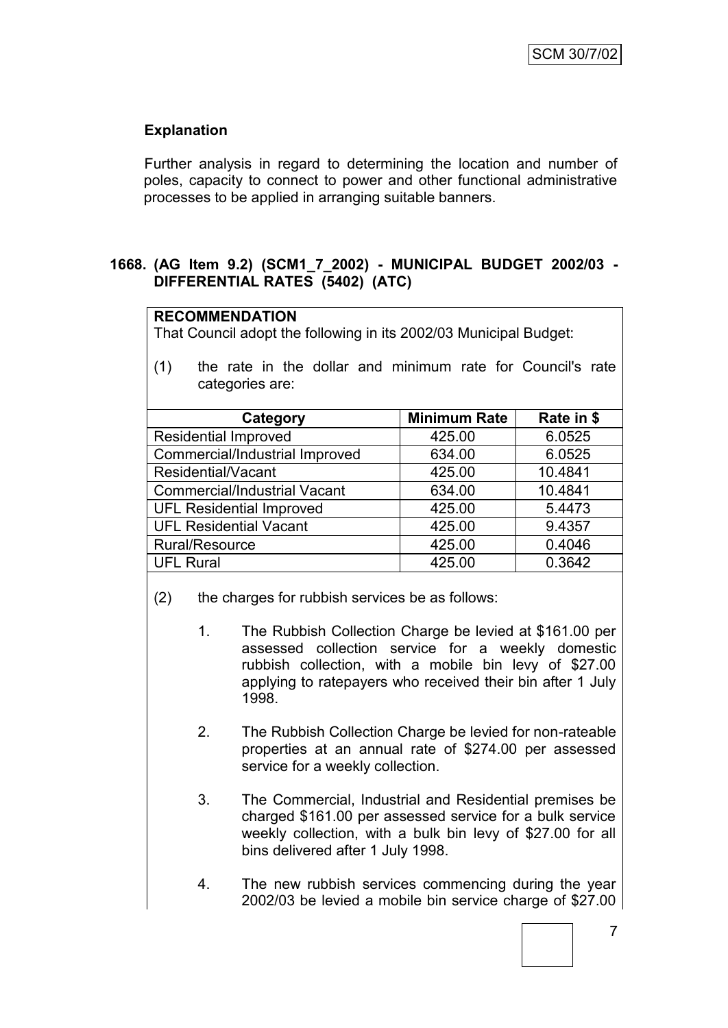## **Explanation**

Further analysis in regard to determining the location and number of poles, capacity to connect to power and other functional administrative processes to be applied in arranging suitable banners.

#### **1668. (AG Item 9.2) (SCM1\_7\_2002) - MUNICIPAL BUDGET 2002/03 - DIFFERENTIAL RATES (5402) (ATC)**

#### **RECOMMENDATION**

That Council adopt the following in its 2002/03 Municipal Budget:

(1) the rate in the dollar and minimum rate for Council's rate categories are:

| Category                            | <b>Minimum Rate</b> | Rate in \$ |
|-------------------------------------|---------------------|------------|
| <b>Residential Improved</b>         | 425.00              | 6.0525     |
| Commercial/Industrial Improved      | 634.00              | 6.0525     |
| Residential/Vacant                  | 425.00              | 10.4841    |
| <b>Commercial/Industrial Vacant</b> | 634.00              | 10.4841    |
| <b>UFL Residential Improved</b>     | 425.00              | 5.4473     |
| <b>UFL Residential Vacant</b>       | 425.00              | 9.4357     |
| Rural/Resource                      | 425.00              | 0.4046     |
| <b>UFL Rural</b>                    | 425.00              | 0.3642     |

(2) the charges for rubbish services be as follows:

- 1. The Rubbish Collection Charge be levied at \$161.00 per assessed collection service for a weekly domestic rubbish collection, with a mobile bin levy of \$27.00 applying to ratepayers who received their bin after 1 July 1998.
- 2. The Rubbish Collection Charge be levied for non-rateable properties at an annual rate of \$274.00 per assessed service for a weekly collection.
- 3. The Commercial, Industrial and Residential premises be charged \$161.00 per assessed service for a bulk service weekly collection, with a bulk bin levy of \$27.00 for all bins delivered after 1 July 1998.
- 4. The new rubbish services commencing during the year 2002/03 be levied a mobile bin service charge of \$27.00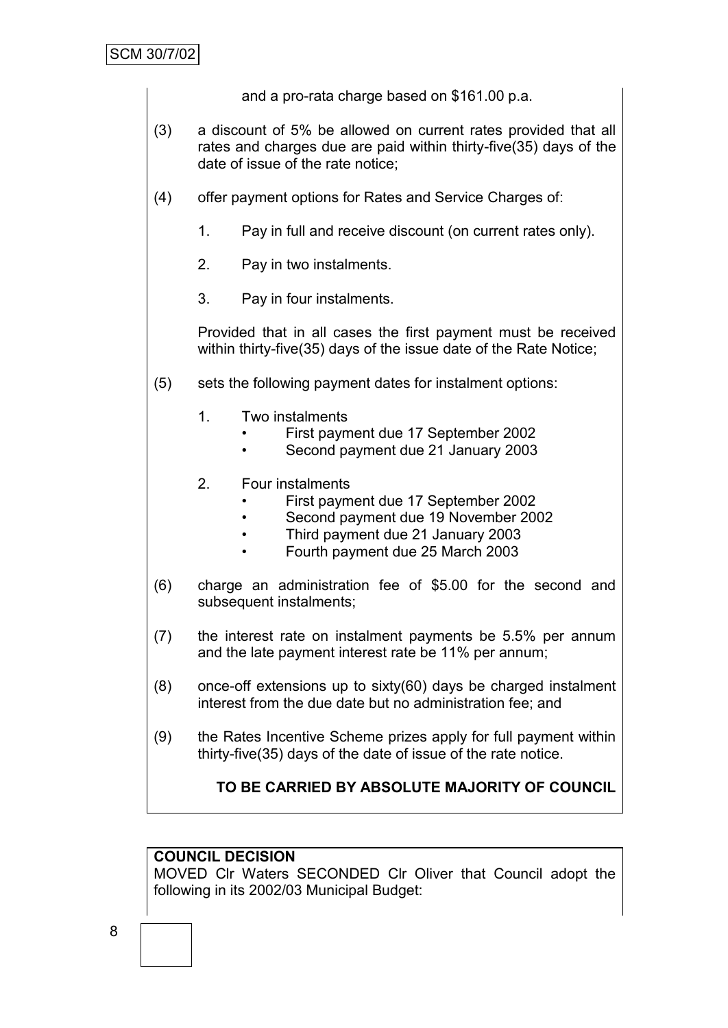and a pro-rata charge based on \$161.00 p.a.

- (3) a discount of 5% be allowed on current rates provided that all rates and charges due are paid within thirty-five(35) days of the date of issue of the rate notice;
- (4) offer payment options for Rates and Service Charges of:
	- 1. Pay in full and receive discount (on current rates only).
	- 2. Pay in two instalments.
	- 3. Pay in four instalments.

Provided that in all cases the first payment must be received within thirty-five(35) days of the issue date of the Rate Notice;

- (5) sets the following payment dates for instalment options:
	- 1. Two instalments
		- First payment due 17 September 2002
		- Second payment due 21 January 2003
	- 2. Four instalments
		- First payment due 17 September 2002
		- Second payment due 19 November 2002
		- Third payment due 21 January 2003
		- Fourth payment due 25 March 2003
- (6) charge an administration fee of \$5.00 for the second and subsequent instalments;
- (7) the interest rate on instalment payments be 5.5% per annum and the late payment interest rate be 11% per annum;
- (8) once-off extensions up to sixty(60) days be charged instalment interest from the due date but no administration fee; and
- (9) the Rates Incentive Scheme prizes apply for full payment within thirty-five(35) days of the date of issue of the rate notice.

# **TO BE CARRIED BY ABSOLUTE MAJORITY OF COUNCIL**

## **COUNCIL DECISION**

MOVED Clr Waters SECONDED Clr Oliver that Council adopt the following in its 2002/03 Municipal Budget: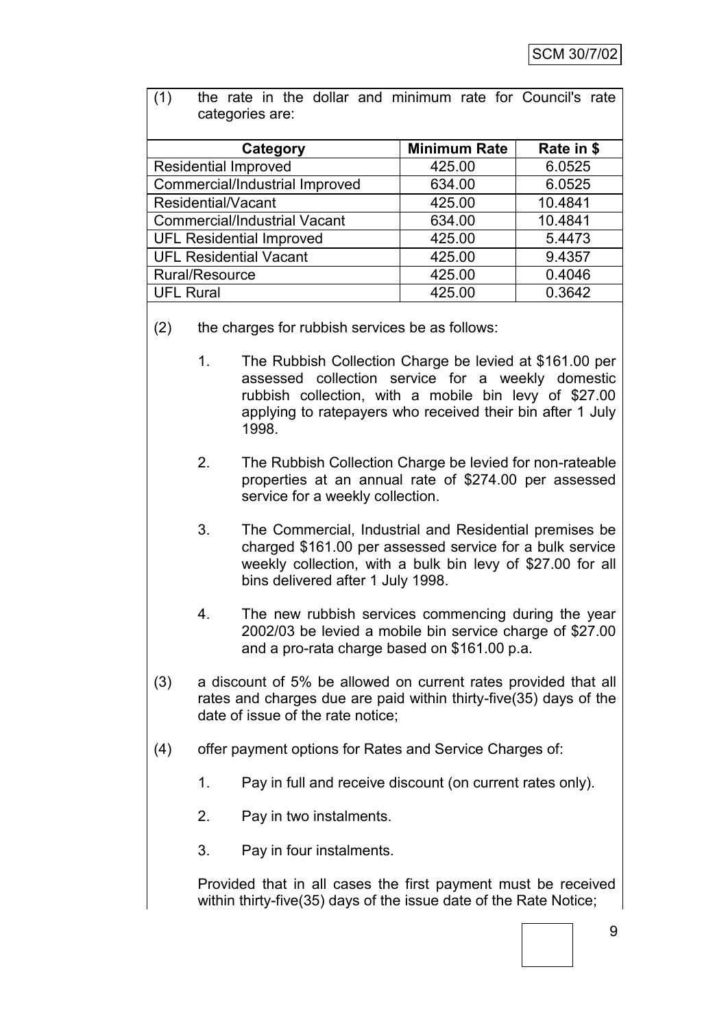| calegories are.                     |                     |            |  |  |  |
|-------------------------------------|---------------------|------------|--|--|--|
| Category                            | <b>Minimum Rate</b> | Rate in \$ |  |  |  |
| <b>Residential Improved</b>         | 425.00              | 6.0525     |  |  |  |
| Commercial/Industrial Improved      | 634.00              | 6.0525     |  |  |  |
| Residential/Vacant                  | 425.00              | 10.4841    |  |  |  |
| <b>Commercial/Industrial Vacant</b> | 634.00              | 10.4841    |  |  |  |
| <b>UFL Residential Improved</b>     | 425.00              | 5.4473     |  |  |  |
| <b>UFL Residential Vacant</b>       | 425.00              | 9.4357     |  |  |  |
| Rural/Resource                      | 425.00              | 0.4046     |  |  |  |
| <b>UFL Rural</b>                    | 425.00              | 0.3642     |  |  |  |
|                                     |                     |            |  |  |  |

(1) the rate in the dollar and minimum rate for Council's rate categories are:

- (2) the charges for rubbish services be as follows:
	- 1. The Rubbish Collection Charge be levied at \$161.00 per assessed collection service for a weekly domestic rubbish collection, with a mobile bin levy of \$27.00 applying to ratepayers who received their bin after 1 July 1998.
	- 2. The Rubbish Collection Charge be levied for non-rateable properties at an annual rate of \$274.00 per assessed service for a weekly collection.
	- 3. The Commercial, Industrial and Residential premises be charged \$161.00 per assessed service for a bulk service weekly collection, with a bulk bin levy of \$27.00 for all bins delivered after 1 July 1998.
	- 4. The new rubbish services commencing during the year 2002/03 be levied a mobile bin service charge of \$27.00 and a pro-rata charge based on \$161.00 p.a.
- (3) a discount of 5% be allowed on current rates provided that all rates and charges due are paid within thirty-five(35) days of the date of issue of the rate notice;
- (4) offer payment options for Rates and Service Charges of:
	- 1. Pay in full and receive discount (on current rates only).
	- 2. Pay in two instalments.
	- 3. Pay in four instalments.

Provided that in all cases the first payment must be received within thirty-five(35) days of the issue date of the Rate Notice;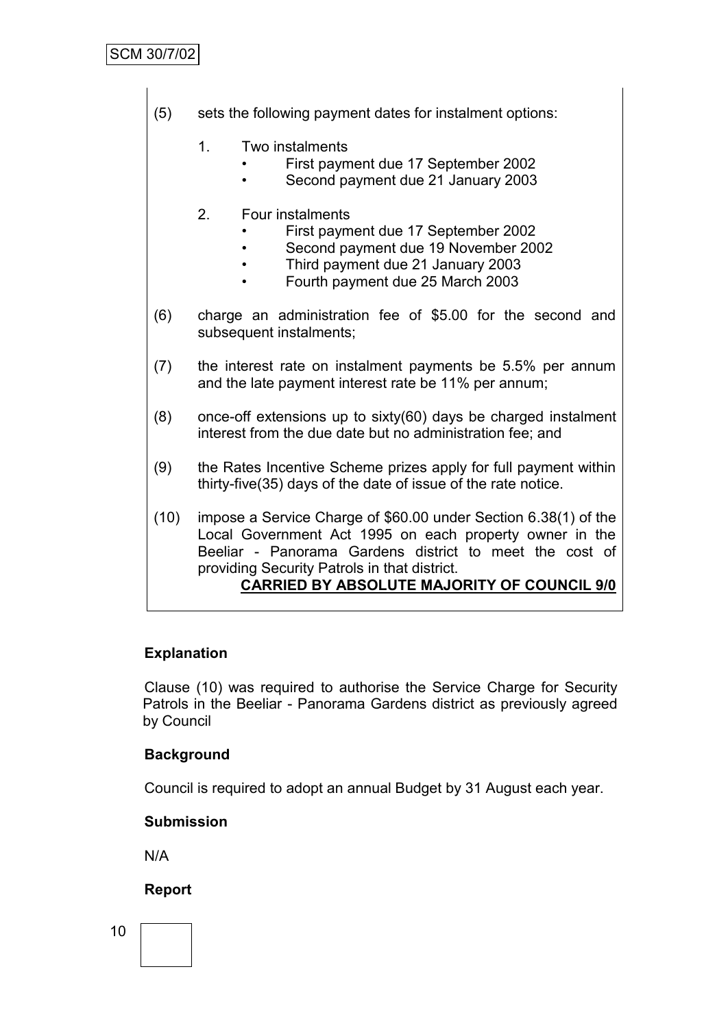- (5) sets the following payment dates for instalment options:
	- 1. Two instalments
		- First payment due 17 September 2002
		- Second payment due 21 January 2003
	- 2. Four instalments
		- First payment due 17 September 2002
		- Second payment due 19 November 2002
		- Third payment due 21 January 2003
		- Fourth payment due 25 March 2003
- (6) charge an administration fee of \$5.00 for the second and subsequent instalments;
- (7) the interest rate on instalment payments be 5.5% per annum and the late payment interest rate be 11% per annum;
- (8) once-off extensions up to sixty(60) days be charged instalment interest from the due date but no administration fee; and
- (9) the Rates Incentive Scheme prizes apply for full payment within thirty-five(35) days of the date of issue of the rate notice.
- (10) impose a Service Charge of \$60.00 under Section 6.38(1) of the Local Government Act 1995 on each property owner in the Beeliar - Panorama Gardens district to meet the cost of providing Security Patrols in that district. **CARRIED BY ABSOLUTE MAJORITY OF COUNCIL 9/0**

## **Explanation**

Clause (10) was required to authorise the Service Charge for Security Patrols in the Beeliar - Panorama Gardens district as previously agreed by Council

## **Background**

Council is required to adopt an annual Budget by 31 August each year.

#### **Submission**

N/A

## **Report**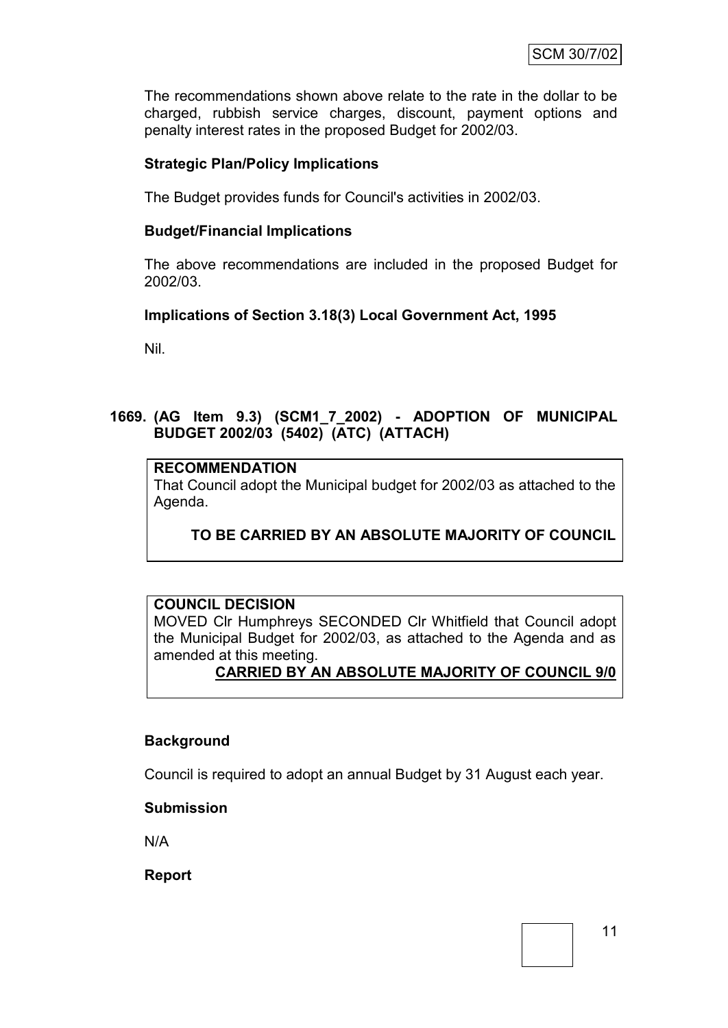The recommendations shown above relate to the rate in the dollar to be charged, rubbish service charges, discount, payment options and penalty interest rates in the proposed Budget for 2002/03.

#### **Strategic Plan/Policy Implications**

The Budget provides funds for Council's activities in 2002/03.

#### **Budget/Financial Implications**

The above recommendations are included in the proposed Budget for 2002/03.

#### **Implications of Section 3.18(3) Local Government Act, 1995**

Nil.

## **1669. (AG Item 9.3) (SCM1\_7\_2002) - ADOPTION OF MUNICIPAL BUDGET 2002/03 (5402) (ATC) (ATTACH)**

#### **RECOMMENDATION**

That Council adopt the Municipal budget for 2002/03 as attached to the Agenda.

## **TO BE CARRIED BY AN ABSOLUTE MAJORITY OF COUNCIL**

## **COUNCIL DECISION**

MOVED Clr Humphreys SECONDED Clr Whitfield that Council adopt the Municipal Budget for 2002/03, as attached to the Agenda and as amended at this meeting.

#### **CARRIED BY AN ABSOLUTE MAJORITY OF COUNCIL 9/0**

#### **Background**

Council is required to adopt an annual Budget by 31 August each year.

#### **Submission**

N/A

**Report**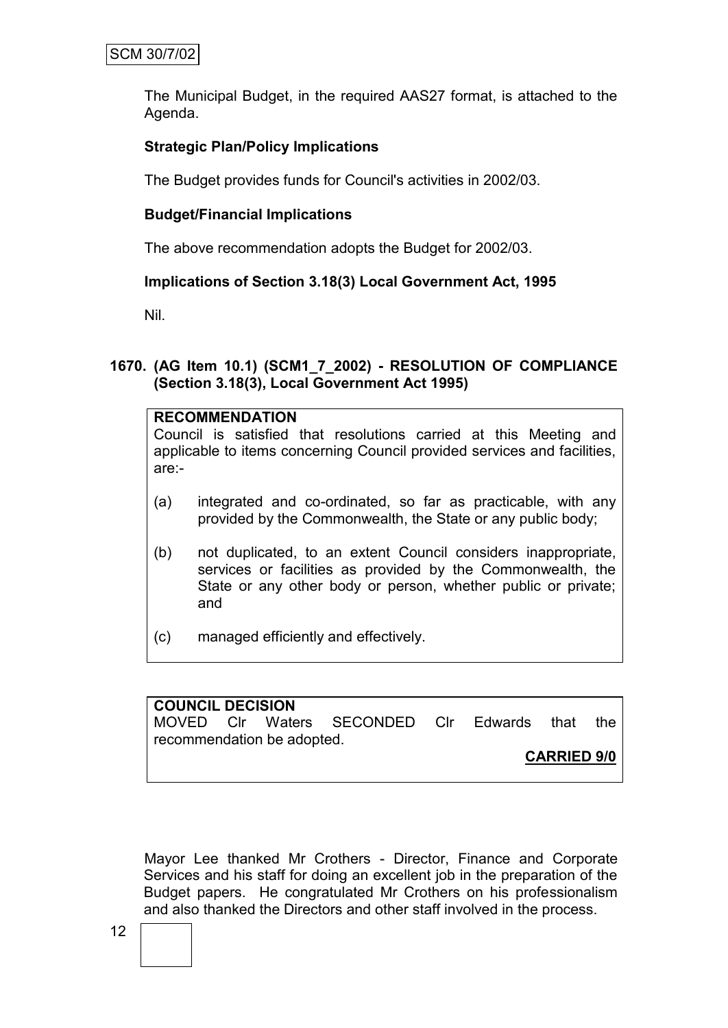The Municipal Budget, in the required AAS27 format, is attached to the Agenda.

## **Strategic Plan/Policy Implications**

The Budget provides funds for Council's activities in 2002/03.

#### **Budget/Financial Implications**

The above recommendation adopts the Budget for 2002/03.

## **Implications of Section 3.18(3) Local Government Act, 1995**

Nil.

#### **1670. (AG Item 10.1) (SCM1\_7\_2002) - RESOLUTION OF COMPLIANCE (Section 3.18(3), Local Government Act 1995)**

#### **RECOMMENDATION**

Council is satisfied that resolutions carried at this Meeting and applicable to items concerning Council provided services and facilities, are:-

- (a) integrated and co-ordinated, so far as practicable, with any provided by the Commonwealth, the State or any public body;
- (b) not duplicated, to an extent Council considers inappropriate, services or facilities as provided by the Commonwealth, the State or any other body or person, whether public or private; and
- (c) managed efficiently and effectively.

**COUNCIL DECISION** MOVED Clr Waters SECONDED Clr Edwards that the recommendation be adopted. **CARRIED 9/0**

Mayor Lee thanked Mr Crothers - Director, Finance and Corporate Services and his staff for doing an excellent job in the preparation of the Budget papers. He congratulated Mr Crothers on his professionalism and also thanked the Directors and other staff involved in the process.